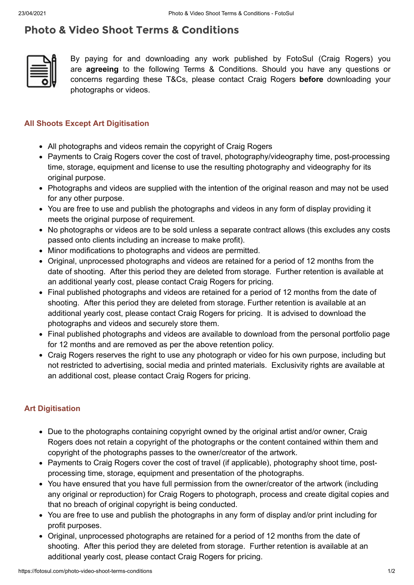## **Photo & Video Shoot Terms & Conditions**



By paying for and downloading any work published by FotoSul (Craig Rogers) you are **agreeing** to the following Terms & Conditions. Should you have any questions or concerns regarding these T&Cs, please contact Craig Rogers **before** downloading your photographs or videos.

## **All Shoots Except Art Digitisation**

- All photographs and videos remain the copyright of Craig Rogers
- Payments to Craig Rogers cover the cost of travel, photography/videography time, post-processing time, storage, equipment and license to use the resulting photography and videography for its original purpose.
- Photographs and videos are supplied with the intention of the original reason and may not be used for any other purpose.
- You are free to use and publish the photographs and videos in any form of display providing it meets the original purpose of requirement.
- No photographs or videos are to be sold unless a separate contract allows (this excludes any costs passed onto clients including an increase to make profit).
- Minor modifications to photographs and videos are permitted.
- Original, unprocessed photographs and videos are retained for a period of 12 months from the date of shooting. After this period they are deleted from storage. Further retention is available at an additional yearly cost, please contact Craig Rogers for pricing.
- Final published photographs and videos are retained for a period of 12 months from the date of shooting. After this period they are deleted from storage. Further retention is available at an additional yearly cost, please contact Craig Rogers for pricing. It is advised to download the photographs and videos and securely store them.
- Final published photographs and videos are available to download from the personal portfolio page for 12 months and are removed as per the above retention policy.
- Craig Rogers reserves the right to use any photograph or video for his own purpose, including but not restricted to advertising, social media and printed materials. Exclusivity rights are available at an additional cost, please contact Craig Rogers for pricing.

## **Art Digitisation**

- Due to the photographs containing copyright owned by the original artist and/or owner, Craig Rogers does not retain a copyright of the photographs or the content contained within them and copyright of the photographs passes to the owner/creator of the artwork.
- Payments to Craig Rogers cover the cost of travel (if applicable), photography shoot time, postprocessing time, storage, equipment and presentation of the photographs.
- You have ensured that you have full permission from the owner/creator of the artwork (including any original or reproduction) for Craig Rogers to photograph, process and create digital copies and that no breach of original copyright is being conducted.
- You are free to use and publish the photographs in any form of display and/or print including for profit purposes.
- Original, unprocessed photographs are retained for a period of 12 months from the date of shooting. After this period they are deleted from storage. Further retention is available at an additional yearly cost, please contact Craig Rogers for pricing.